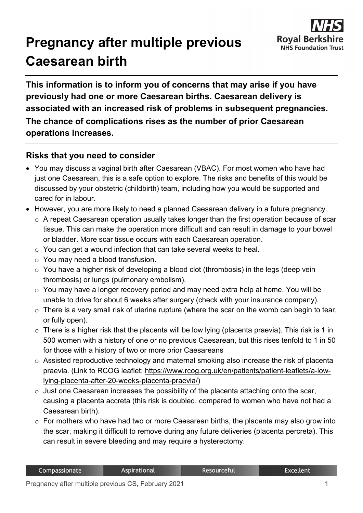

## **Pregnancy after multiple previous Caesarean birth**

**This information is to inform you of concerns that may arise if you have previously had one or more Caesarean births. Caesarean delivery is associated with an increased risk of problems in subsequent pregnancies.**

**The chance of complications rises as the number of prior Caesarean operations increases.**

## **Risks that you need to consider**

- You may discuss a vaginal birth after Caesarean (VBAC). For most women who have had just one Caesarean, this is a safe option to explore. The risks and benefits of this would be discussed by your obstetric (childbirth) team, including how you would be supported and cared for in labour.
- However, you are more likely to need a planned Caesarean delivery in a future pregnancy.
	- o A repeat Caesarean operation usually takes longer than the first operation because of scar tissue. This can make the operation more difficult and can result in damage to your bowel or bladder. More scar tissue occurs with each Caesarean operation.
	- o You can get a wound infection that can take several weeks to heal.
	- o You may need a blood transfusion.
	- o You have a higher risk of developing a blood clot (thrombosis) in the legs (deep vein thrombosis) or lungs (pulmonary embolism).
	- o You may have a longer recovery period and may need extra help at home. You will be unable to drive for about 6 weeks after surgery (check with your insurance company).
	- $\circ$  There is a very small risk of uterine rupture (where the scar on the womb can begin to tear, or fully open).
	- $\circ$  There is a higher risk that the placenta will be low lying (placenta praevia). This risk is 1 in 500 women with a history of one or no previous Caesarean, but this rises tenfold to 1 in 50 for those with a history of two or more prior Caesareans
	- o Assisted reproductive technology and maternal smoking also increase the risk of placenta praevia. (Link to RCOG leaflet: [https://www.rcog.org.uk/en/patients/patient-leaflets/a-low](https://www.rcog.org.uk/en/patients/patient-leaflets/a-low-lying-placenta-after-20-weeks-placenta-praevia/)[lying-placenta-after-20-weeks-placenta-praevia/\)](https://www.rcog.org.uk/en/patients/patient-leaflets/a-low-lying-placenta-after-20-weeks-placenta-praevia/)
	- $\circ$  Just one Caesarean increases the possibility of the placenta attaching onto the scar, causing a placenta accreta (this risk is doubled, compared to women who have not had a Caesarean birth).
	- $\circ$  For mothers who have had two or more Caesarean births, the placenta may also grow into the scar, making it difficult to remove during any future deliveries (placenta percreta). This can result in severe bleeding and may require a hysterectomy.